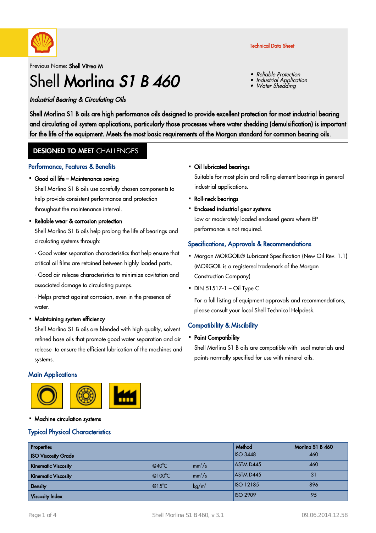

### Previous Name: Shell Vitrea M

# Shell Morlina S1 B 460

#### Industrial Bearing & Circulating Oils

Shell Morlina S1 B oils are high performance oils designed to provide excellent protection for most industrial bearing and circulating oil system applications, particularly those processes where water shedding (demulsification) is important for the life of the equipment. Meets the most basic requirements of the Morgan standard for common bearing oils.

#### **DESIGNED TO MEET CHALLENGES**

#### Performance, Features & Benefits

## Good oil life – Maintenance saving ·

Shell Morlina S1 B oils use carefully chosen components to help provide consistent performance and protection throughout the maintenance interval.

#### Reliable wear & corrosion protection

Shell Morlina S1 B oils help prolong the life of bearings and circulating systems through:

- Good water separation characteristics that help ensure that critical oil films are retained between highly loaded parts.

- Good air release characteristics to minimize cavitation and associated damage to circulating pumps.

- Helps protect against corrosion, even in the presence of water.

## Maintaining system efficiency ·

Shell Morlina S1 B oils are blended with high quality, solvent refined base oils that promote good water separation and air release to ensure the efficient lubrication of the machines and systems.

#### **Main Applications**



#### • Machine circulation systems

#### Typical Physical Characteristics

#### • Oil lubricated bearings

Suitable for most plain and rolling element bearings in general industrial applications.

- Roll-neck bearings ·
- Enclosed industrial gear systems · Low or moderately loaded enclosed gears where EP performance is not required.

#### Specifications, Approvals & Recommendations

- . Morgan MORGOIL® Lubricant Specification (New Oil Rev. 1.1) (MORGOIL is a registered trademark of the Morgan Construction Company)
- $\bullet$  DIN 51517-1 Oil Type C

For a full listing of equipment approvals and recommendations, please consult your local Shell Technical Helpdesk.

#### Compatibility & Miscibility

• Paint Compatibility

Shell Morlina S1 B oils are compatible with seal materials and paints normally specified for use with mineral oils.

| <b>Properties</b>          |                   |                 | Method           | Morling S1 B 460 |
|----------------------------|-------------------|-----------------|------------------|------------------|
| <b>ISO Viscosity Grade</b> |                   |                 | $ $ ISO 3448     | 460              |
| <b>Kinematic Viscosity</b> | $@40^{\circ}$ C   | $mm^2/s$        | <b>ASTM D445</b> | 460              |
| <b>Kinematic Viscosity</b> | @100 $^{\circ}$ C | $mm^2/s$        | <b>ASTM D445</b> | 31               |
| <b>Density</b>             | $@15^{\circ}$ C   | $\text{kg/m}^3$ | <b>ISO 12185</b> | 896              |
| <b>Viscosity Index</b>     |                   |                 | <b>ISO 2909</b>  | 95               |

#### Technical Data Sheet

Reliable Protection

Water Shedding

Industrial Application

•

•

•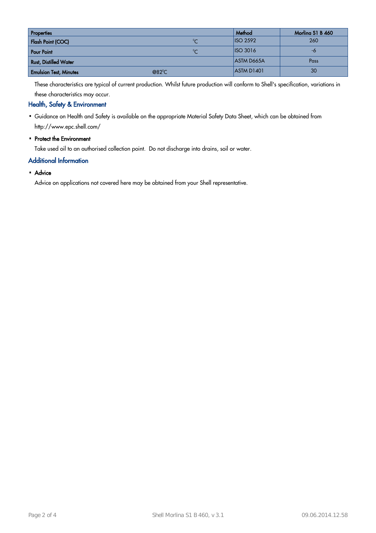| <b>Properties</b>             |                | Method            | Morling S1 B 460 |
|-------------------------------|----------------|-------------------|------------------|
| Flash Point (COC)             | $\sim$         | $ $ ISO 2592      | 260              |
| <b>Pour Point</b>             | $\sim$         | ISO3016           | -0               |
| <b>Rust, Distilled Water</b>  |                | <b>ASTM D665A</b> | Pass             |
| <b>Emulsion Test, Minutes</b> | $@82^{\circ}C$ | ASTM D1401        | 30               |

These characteristics are typical of current production. Whilst future production will conform to Shell's specification, variations in these characteristics may occur.

#### Health, Safety & Environment

- Guidance on Health and Safety is available on the appropriate Material Safety Data Sheet, which can be obtained from · http://www.epc.shell.com/
- Protect the Environment

Take used oil to an authorised collection point. Do not discharge into drains, soil or water.

#### Additional Information

## • Advice

Advice on applications not covered here may be obtained from your Shell representative.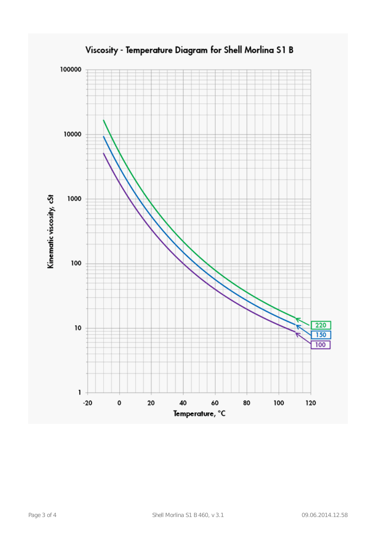

### Viscosity - Temperature Diagram for Shell Morlina S1 B